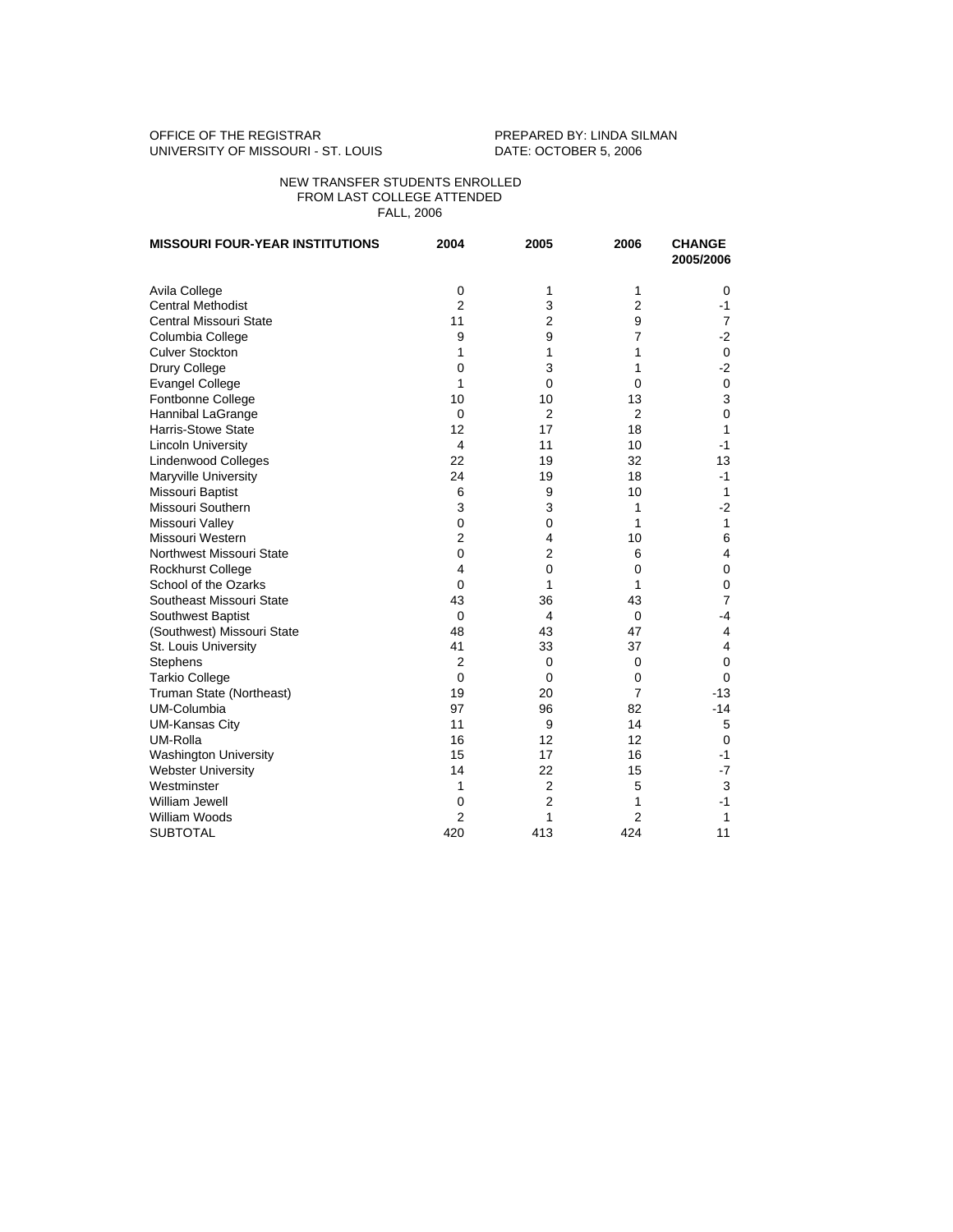## OFFICE OF THE REGISTRAR **PREPARED BY: LINDA SILMAN** UNIVERSITY OF MISSOURI - ST. LOUIS DATE: OCTOBER 5, 2006

## NEW TRANSFER STUDENTS ENROLLED FROM LAST COLLEGE ATTENDED FALL, 2006

| <b>MISSOURI FOUR-YEAR INSTITUTIONS</b> | 2004           | 2005           | 2006           | <b>CHANGE</b><br>2005/2006 |
|----------------------------------------|----------------|----------------|----------------|----------------------------|
| Avila College                          | 0              | 1              | 1              | 0                          |
| <b>Central Methodist</b>               | $\overline{2}$ | 3              | $\overline{2}$ | $-1$                       |
| Central Missouri State                 | 11             | $\overline{2}$ | 9              | $\overline{7}$             |
| Columbia College                       | 9              | 9              | $\overline{7}$ | $-2$                       |
| <b>Culver Stockton</b>                 | 1              | 1              | 1              | 0                          |
| Drury College                          | 0              | 3              | 1              | $-2$                       |
| <b>Evangel College</b>                 | 1              | 0              | $\Omega$       | $\mathbf 0$                |
| Fontbonne College                      | 10             | 10             | 13             | 3                          |
| Hannibal LaGrange                      | $\Omega$       | $\overline{2}$ | 2              | $\Omega$                   |
| <b>Harris-Stowe State</b>              | 12             | 17             | 18             | 1                          |
| <b>Lincoln University</b>              | 4              | 11             | 10             | $-1$                       |
| <b>Lindenwood Colleges</b>             | 22             | 19             | 32             | 13                         |
| Maryville University                   | 24             | 19             | 18             | $-1$                       |
| Missouri Baptist                       | 6              | 9              | 10             | 1                          |
| Missouri Southern                      | 3              | 3              | $\mathbf{1}$   | $-2$                       |
| Missouri Valley                        | 0              | 0              | 1              | 1                          |
| Missouri Western                       | 2              | $\overline{4}$ | 10             | 6                          |
| Northwest Missouri State               | 0              | $\overline{2}$ | 6              | 4                          |
| <b>Rockhurst College</b>               | 4              | 0              | $\mathbf 0$    | $\mathbf 0$                |
| School of the Ozarks                   | $\Omega$       | 1              | 1              | $\mathbf 0$                |
| Southeast Missouri State               | 43             | 36             | 43             | $\overline{7}$             |
| Southwest Baptist                      | $\mathbf 0$    | 4              | $\mathbf 0$    | $-4$                       |
| (Southwest) Missouri State             | 48             | 43             | 47             | $\overline{4}$             |
| St. Louis University                   | 41             | 33             | 37             | 4                          |
| Stephens                               | 2              | $\mathbf 0$    | $\mathbf 0$    | $\mathbf 0$                |
| <b>Tarkio College</b>                  | $\mathbf 0$    | $\mathbf 0$    | $\mathbf 0$    | $\Omega$                   |
| Truman State (Northeast)               | 19             | 20             | $\overline{7}$ | $-13$                      |
| UM-Columbia                            | 97             | 96             | 82             | $-14$                      |
| <b>UM-Kansas City</b>                  | 11             | 9              | 14             | 5                          |
| UM-Rolla                               | 16             | 12             | 12             | 0                          |
| <b>Washington University</b>           | 15             | 17             | 16             | $-1$                       |
| <b>Webster University</b>              | 14             | 22             | 15             | $-7$                       |
| Westminster                            | 1              | $\overline{2}$ | 5              | 3                          |
| William Jewell                         | 0              | $\overline{2}$ | 1              | $-1$                       |
| <b>William Woods</b>                   | $\overline{2}$ | 1              | $\overline{2}$ | 1                          |
| <b>SUBTOTAL</b>                        | 420            | 413            | 424            | 11                         |